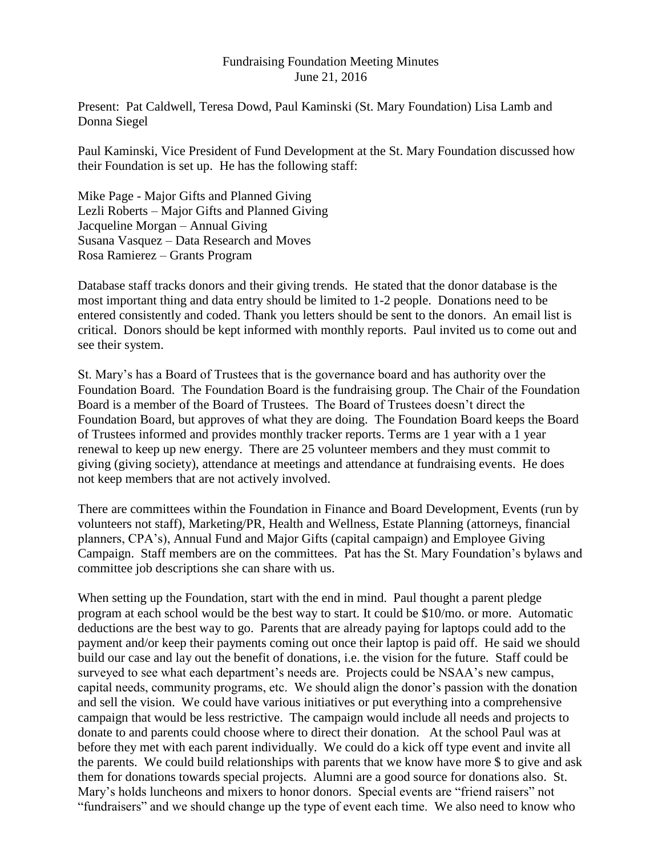## Fundraising Foundation Meeting Minutes June 21, 2016

Present: Pat Caldwell, Teresa Dowd, Paul Kaminski (St. Mary Foundation) Lisa Lamb and Donna Siegel

Paul Kaminski, Vice President of Fund Development at the St. Mary Foundation discussed how their Foundation is set up. He has the following staff:

Mike Page - Major Gifts and Planned Giving Lezli Roberts – Major Gifts and Planned Giving Jacqueline Morgan – Annual Giving Susana Vasquez – Data Research and Moves Rosa Ramierez – Grants Program

Database staff tracks donors and their giving trends. He stated that the donor database is the most important thing and data entry should be limited to 1-2 people. Donations need to be entered consistently and coded. Thank you letters should be sent to the donors. An email list is critical. Donors should be kept informed with monthly reports. Paul invited us to come out and see their system.

St. Mary's has a Board of Trustees that is the governance board and has authority over the Foundation Board. The Foundation Board is the fundraising group. The Chair of the Foundation Board is a member of the Board of Trustees. The Board of Trustees doesn't direct the Foundation Board, but approves of what they are doing. The Foundation Board keeps the Board of Trustees informed and provides monthly tracker reports. Terms are 1 year with a 1 year renewal to keep up new energy. There are 25 volunteer members and they must commit to giving (giving society), attendance at meetings and attendance at fundraising events. He does not keep members that are not actively involved.

There are committees within the Foundation in Finance and Board Development, Events (run by volunteers not staff), Marketing/PR, Health and Wellness, Estate Planning (attorneys, financial planners, CPA's), Annual Fund and Major Gifts (capital campaign) and Employee Giving Campaign. Staff members are on the committees. Pat has the St. Mary Foundation's bylaws and committee job descriptions she can share with us.

When setting up the Foundation, start with the end in mind. Paul thought a parent pledge program at each school would be the best way to start. It could be \$10/mo. or more. Automatic deductions are the best way to go. Parents that are already paying for laptops could add to the payment and/or keep their payments coming out once their laptop is paid off. He said we should build our case and lay out the benefit of donations, i.e. the vision for the future. Staff could be surveyed to see what each department's needs are. Projects could be NSAA's new campus, capital needs, community programs, etc. We should align the donor's passion with the donation and sell the vision. We could have various initiatives or put everything into a comprehensive campaign that would be less restrictive. The campaign would include all needs and projects to donate to and parents could choose where to direct their donation. At the school Paul was at before they met with each parent individually. We could do a kick off type event and invite all the parents. We could build relationships with parents that we know have more \$ to give and ask them for donations towards special projects. Alumni are a good source for donations also. St. Mary's holds luncheons and mixers to honor donors. Special events are "friend raisers" not "fundraisers" and we should change up the type of event each time. We also need to know who